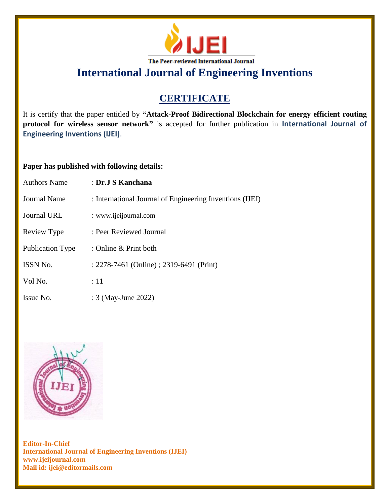

**International Journal of Engineering Inventions**

## **CERTIFICATE**

It is certify that the paper entitled by **"Attack-Proof Bidirectional Blockchain for energy efficient routing protocol for wireless sensor network"** is accepted for further publication in **International Journal of Engineering Inventions (IJEI)**.

## **Paper has published with following details:**

| <b>Authors Name</b>     | : Dr.J S Kanchana                                        |
|-------------------------|----------------------------------------------------------|
| Journal Name            | : International Journal of Engineering Inventions (IJEI) |
| <b>Journal URL</b>      | : www.ijeijournal.com                                    |
| Review Type             | : Peer Reviewed Journal                                  |
| <b>Publication Type</b> | : Online & Print both                                    |
| ISSN No.                | : 2278-7461 (Online) ; 2319-6491 (Print)                 |
| Vol No.                 | :11                                                      |
| Issue No.               | : 3 (May-June 2022)                                      |



**Editor-In-Chief International Journal of Engineering Inventions (IJEI) www.ijeijournal.com Mail id: ijei@editormails.com**